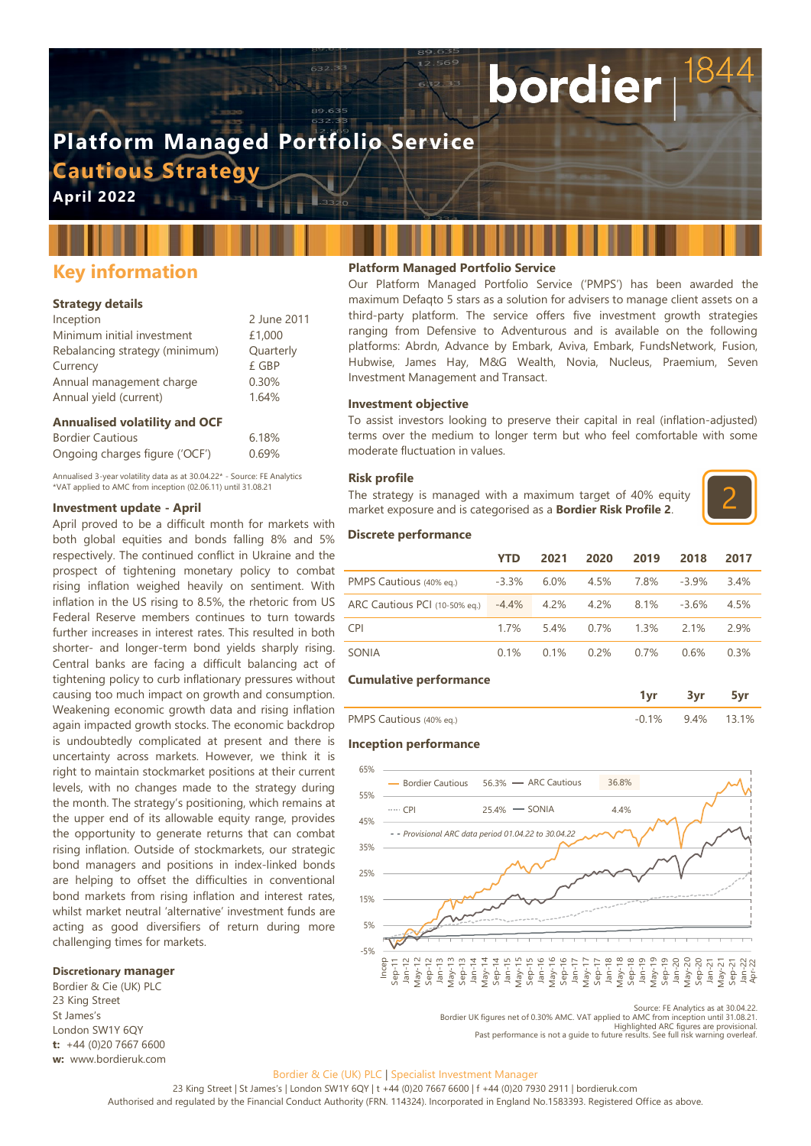# **Platform Managed Portfolio Service Cautious Strategy**

**April 2022**

# **Key information**

#### **Strategy details**

| Inception                      | 2 June 2011 |
|--------------------------------|-------------|
| Minimum initial investment     | £1,000      |
| Rebalancing strategy (minimum) | Quarterly   |
| Currency                       | £ GBP       |
| Annual management charge       | 0.30%       |
| Annual yield (current)         | 1.64%       |

#### **Annualised volatility and OCF**

| <b>Bordier Cautious</b>        | 6.18% |
|--------------------------------|-------|
| Ongoing charges figure ('OCF') | 0.69% |

Annualised 3-year volatility data as at 30.04.22\* - Source: FE Analytics \*VAT applied to AMC from inception (02.06.11) until 31.08.21

#### **Investment update - April**

April proved to be a difficult month for markets with both global equities and bonds falling 8% and 5% respectively. The continued conflict in Ukraine and the prospect of tightening monetary policy to combat rising inflation weighed heavily on sentiment. With inflation in the US rising to 8.5%, the rhetoric from US Federal Reserve members continues to turn towards further increases in interest rates. This resulted in both shorter- and longer-term bond yields sharply rising. Central banks are facing a difficult balancing act of tightening policy to curb inflationary pressures without causing too much impact on growth and consumption. Weakening economic growth data and rising inflation again impacted growth stocks. The economic backdrop is undoubtedly complicated at present and there is uncertainty across markets. However, we think it is right to maintain stockmarket positions at their current levels, with no changes made to the strategy during the month. The strategy's positioning, which remains at the upper end of its allowable equity range, provides the opportunity to generate returns that can combat rising inflation. Outside of stockmarkets, our strategic bond managers and positions in index-linked bonds are helping to offset the difficulties in conventional bond markets from rising inflation and interest rates, whilst market neutral 'alternative' investment funds are acting as good diversifiers of return during more challenging times for markets.

#### **Discretionary manager**

Bordier & Cie (UK) PLC 23 King Street St James's London SW1Y 6QY **t:** +44 (0)20 7667 6600 **w:** www.bordieruk.com

#### **Platform Managed Portfolio Service**

Our Platform Managed Portfolio Service ('PMPS') has been awarded the maximum Defaqto 5 stars as a solution for advisers to manage client assets on a third-party platform. The service offers five investment growth strategies ranging from Defensive to Adventurous and is available on the following platforms: Abrdn, Advance by Embark, Aviva, Embark, FundsNetwork, Fusion, Hubwise, James Hay, M&G Wealth, Novia, Nucleus, Praemium, Seven Investment Management and Transact.

bordier

#### **Investment objective**

To assist investors looking to preserve their capital in real (inflation-adjusted) terms over the medium to longer term but who feel comfortable with some moderate fluctuation in values.

#### **Risk profile**

The strategy is managed with a maximum target of 40% equity market exposure and is categorised as a **Bordier Risk Profile 2**.



#### **Discrete performance**

|                               | YTD      | 2021    | 2020    | 2019 | 2018     | 2017 |
|-------------------------------|----------|---------|---------|------|----------|------|
| PMPS Cautious (40% eq.)       | $-3.3%$  | $6.0\%$ | 4.5%    | 7.8% | $-3.9\%$ | 3.4% |
| ARC Cautious PCI (10-50% eq.) | $-4.4\%$ | 4.2%    | 4.2%    | 8.1% | $-3.6%$  | 4.5% |
| <b>CPI</b>                    | 17%      | 54%     | $0.7\%$ | 1.3% | 21%      | 2.9% |
| SONIA                         | 0.1%     | 0.1%    | 0.2%    | 0.7% | 0.6%     | 0.3% |

#### **Cumulative performance**

| . .                                                        |  |  |
|------------------------------------------------------------|--|--|
| <b>DAADC</b><br>$10%$ en )<br>.<br>◡<br>$1 - 10 - 10 - 11$ |  |  |

#### **Inception performance**



Source: FE Analytics as at 30.04.22.

Bordier UK figures net of 0.30% AMC. VAT applied to AMC from inception until 31.08.21. Highlighted ARC figures are provisional. Past performance is not a guide to future results. See full risk warning overleaf.

#### Bordier & Cie (UK) PLC | Specialist Investment Manager

23 King Street | St James's | London SW1Y 6QY | t +44 (0)20 7667 6600 | f +44 (0)20 7930 2911 | bordieruk.com Authorised and regulated by the Financial Conduct Authority (FRN. 114324). Incorporated in England No.1583393. Registered Office as above.